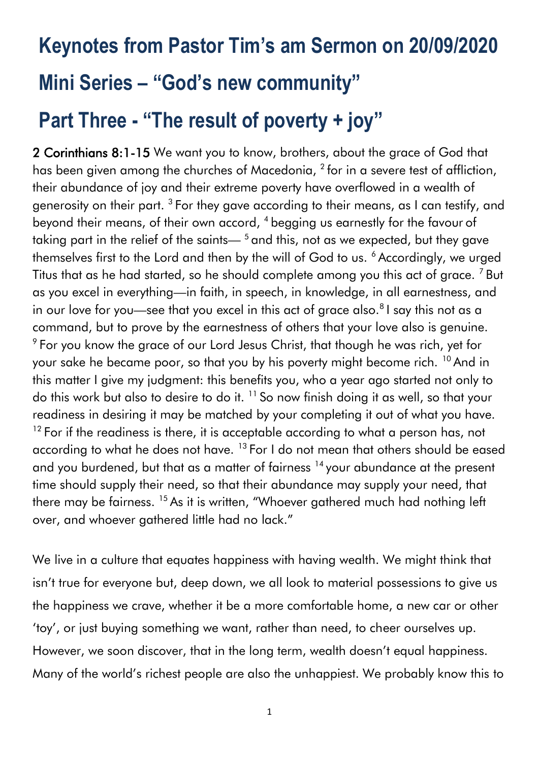# **Keynotes from Pastor Tim's am Sermon on 20/09/2020 Mini Series – "God's new community" Part Three - "The result of poverty + joy"**

2 Corinthians 8:1-15 We want you to know, brothers, about the grace of God that has been given among the churches of Macedonia,  $^2$  for in a severe test of affliction, their abundance of joy and their extreme poverty have overflowed in a wealth of generosity on their part.  $^3$  For they gave according to their means, as I can testify, and beyond their means, of their own accord, <sup>4</sup> begging us earnestly for the favour of taking part in the relief of the saints— $<sup>5</sup>$  and this, not as we expected, but they gave</sup> themselves first to the Lord and then by the will of God to us. <sup>6</sup> Accordingly, we urged Titus that as he had started, so he should complete among you this act of grace.<sup>7</sup> But as you excel in everything—in faith, in speech, in knowledge, in all earnestness, and in our love for you—see that you excel in this act of grace also. $81$  say this not as a command, but to prove by the earnestness of others that your love also is genuine.  $9$  For you know the grace of our Lord Jesus Christ, that though he was rich, yet for your sake he became poor, so that you by his poverty might become rich. <sup>10</sup> And in this matter I give my judgment: this benefits you, who a year ago started not only to do this work but also to desire to do it. <sup>11</sup> So now finish doing it as well, so that your readiness in desiring it may be matched by your completing it out of what you have.  $12$  For if the readiness is there, it is acceptable according to what a person has, not according to what he does not have.  $^{13}$  For I do not mean that others should be eased and you burdened, but that as a matter of fairness <sup>14</sup> your abundance at the present time should supply their need, so that their abundance may supply your need, that there may be fairness. <sup>15</sup> As it is written, "Whoever gathered much had nothing left over, and whoever gathered little had no lack."

We live in a culture that equates happiness with having wealth. We might think that isn't true for everyone but, deep down, we all look to material possessions to give us the happiness we crave, whether it be a more comfortable home, a new car or other 'toy', or just buying something we want, rather than need, to cheer ourselves up. However, we soon discover, that in the long term, wealth doesn't equal happiness. Many of the world's richest people are also the unhappiest. We probably know this to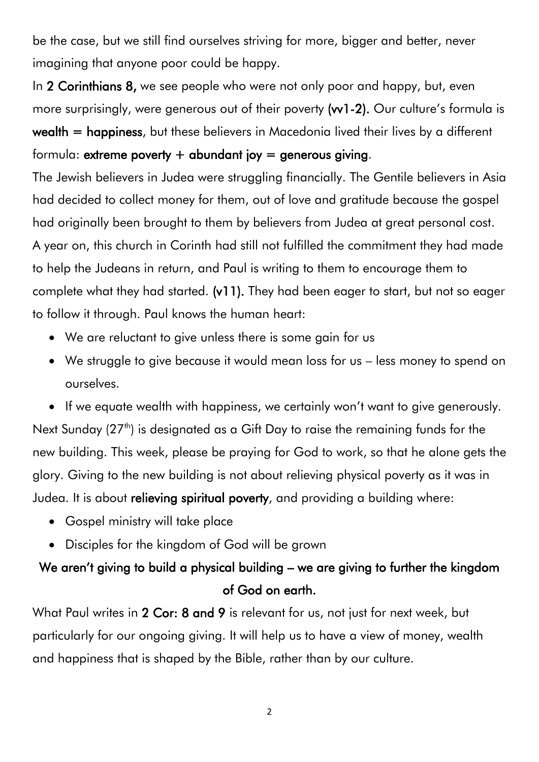be the case, but we still find ourselves striving for more, bigger and better, never imagining that anyone poor could be happy.

In 2 Corinthians 8, we see people who were not only poor and happy, but, even more surprisingly, were generous out of their poverty (w1-2). Our culture's formula is wealth = happiness, but these believers in Macedonia lived their lives by a different formula: extreme poverty  $+$  abundant joy = generous giving.

The Jewish believers in Judea were struggling financially. The Gentile believers in Asia had decided to collect money for them, out of love and gratitude because the gospel had originally been brought to them by believers from Judea at great personal cost. A year on, this church in Corinth had still not fulfilled the commitment they had made to help the Judeans in return, and Paul is writing to them to encourage them to complete what they had started. (v11). They had been eager to start, but not so eager to follow it through. Paul knows the human heart:

- We are reluctant to give unless there is some gain for us
- We struggle to give because it would mean loss for us less money to spend on ourselves.

• If we equate wealth with happiness, we certainly won't want to give generously. Next Sunday (27<sup>th</sup>) is designated as a Gift Day to raise the remaining funds for the new building. This week, please be praying for God to work, so that he alone gets the glory. Giving to the new building is not about relieving physical poverty as it was in Judea. It is about relieving spiritual poverty, and providing a building where:

- Gospel ministry will take place
- Disciples for the kingdom of God will be grown

### We aren't giving to build a physical building – we are giving to further the kingdom of God on earth.

What Paul writes in 2 Cor: 8 and 9 is relevant for us, not just for next week, but particularly for our ongoing giving. It will help us to have a view of money, wealth and happiness that is shaped by the Bible, rather than by our culture.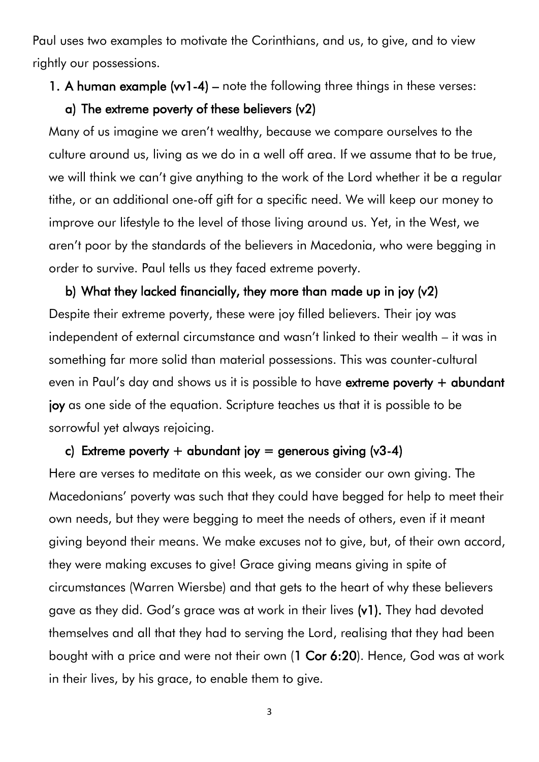Paul uses two examples to motivate the Corinthians, and us, to give, and to view rightly our possessions.

#### 1. A human example (w1-4) – note the following three things in these verses:

#### a) The extreme poverty of these believers (v2)

Many of us imagine we aren't wealthy, because we compare ourselves to the culture around us, living as we do in a well off area. If we assume that to be true, we will think we can't give anything to the work of the Lord whether it be a regular tithe, or an additional one-off gift for a specific need. We will keep our money to improve our lifestyle to the level of those living around us. Yet, in the West, we aren't poor by the standards of the believers in Macedonia, who were begging in order to survive. Paul tells us they faced extreme poverty.

b) What they lacked financially, they more than made up in joy (v2) Despite their extreme poverty, these were joy filled believers. Their joy was independent of external circumstance and wasn't linked to their wealth – it was in something far more solid than material possessions. This was counter-cultural even in Paul's day and shows us it is possible to have extreme poverty + abundant joy as one side of the equation. Scripture teaches us that it is possible to be sorrowful yet always rejoicing.

#### c) Extreme poverty + abundant joy = generous giving  $(v3-4)$

Here are verses to meditate on this week, as we consider our own giving. The Macedonians' poverty was such that they could have begged for help to meet their own needs, but they were begging to meet the needs of others, even if it meant giving beyond their means. We make excuses not to give, but, of their own accord, they were making excuses to give! Grace giving means giving in spite of circumstances (Warren Wiersbe) and that gets to the heart of why these believers gave as they did. God's grace was at work in their lives (v1). They had devoted themselves and all that they had to serving the Lord, realising that they had been bought with a price and were not their own (1 Cor 6:20). Hence, God was at work in their lives, by his grace, to enable them to give.

3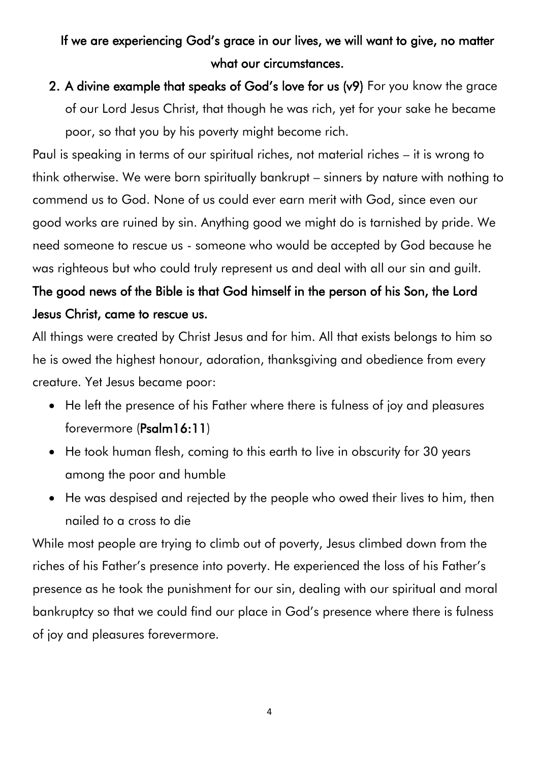## If we are experiencing God's grace in our lives, we will want to give, no matter what our circumstances.

## 2. A divine example that speaks of God's love for us (v9) For you know the grace of our Lord Jesus Christ, that though he was rich, yet for your sake he became poor, so that you by his poverty might become rich.

Paul is speaking in terms of our spiritual riches, not material riches – it is wrong to think otherwise. We were born spiritually bankrupt – sinners by nature with nothing to commend us to God. None of us could ever earn merit with God, since even our good works are ruined by sin. Anything good we might do is tarnished by pride. We need someone to rescue us - someone who would be accepted by God because he was righteous but who could truly represent us and deal with all our sin and guilt.

## The good news of the Bible is that God himself in the person of his Son, the Lord Jesus Christ, came to rescue us.

All things were created by Christ Jesus and for him. All that exists belongs to him so he is owed the highest honour, adoration, thanksgiving and obedience from every creature. Yet Jesus became poor:

- He left the presence of his Father where there is fulness of joy and pleasures forevermore (Psalm16:11)
- He took human flesh, coming to this earth to live in obscurity for 30 years among the poor and humble
- He was despised and rejected by the people who owed their lives to him, then nailed to a cross to die

While most people are trying to climb out of poverty, Jesus climbed down from the riches of his Father's presence into poverty. He experienced the loss of his Father's presence as he took the punishment for our sin, dealing with our spiritual and moral bankruptcy so that we could find our place in God's presence where there is fulness of joy and pleasures forevermore.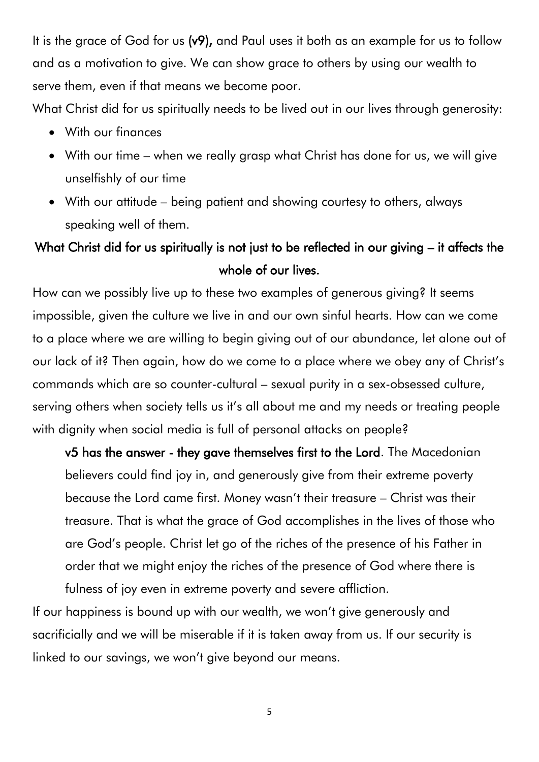It is the grace of God for us (v9), and Paul uses it both as an example for us to follow and as a motivation to give. We can show grace to others by using our wealth to serve them, even if that means we become poor.

What Christ did for us spiritually needs to be lived out in our lives through generosity:

- With our finances
- With our time when we really grasp what Christ has done for us, we will give unselfishly of our time
- With our attitude being patient and showing courtesy to others, always speaking well of them.

## What Christ did for us spiritually is not just to be reflected in our giving – it affects the whole of our lives.

How can we possibly live up to these two examples of generous giving? It seems impossible, given the culture we live in and our own sinful hearts. How can we come to a place where we are willing to begin giving out of our abundance, let alone out of our lack of it? Then again, how do we come to a place where we obey any of Christ's commands which are so counter-cultural – sexual purity in a sex-obsessed culture, serving others when society tells us it's all about me and my needs or treating people with dignity when social media is full of personal attacks on people?

v5 has the answer - they gave themselves first to the Lord. The Macedonian believers could find joy in, and generously give from their extreme poverty because the Lord came first. Money wasn't their treasure – Christ was their treasure. That is what the grace of God accomplishes in the lives of those who are God's people. Christ let go of the riches of the presence of his Father in order that we might enjoy the riches of the presence of God where there is fulness of joy even in extreme poverty and severe affliction.

If our happiness is bound up with our wealth, we won't give generously and sacrificially and we will be miserable if it is taken away from us. If our security is linked to our savings, we won't give beyond our means.

5